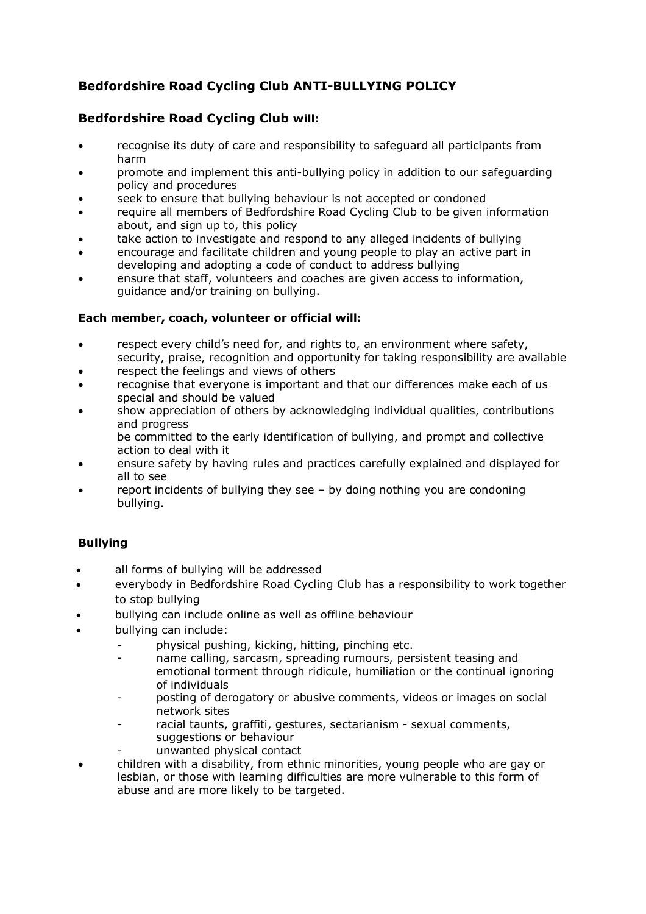# **Bedfordshire Road Cycling Club ANTI-BULLYING POLICY**

## **Bedfordshire Road Cycling Club will:**

- recognise its duty of care and responsibility to safeguard all participants from harm
- promote and implement this anti-bullying policy in addition to our safeguarding policy and procedures
- seek to ensure that bullying behaviour is not accepted or condoned
- require all members of Bedfordshire Road Cycling Club to be given information about, and sign up to, this policy
- take action to investigate and respond to any alleged incidents of bullying
- encourage and facilitate children and young people to play an active part in developing and adopting a code of conduct to address bullying
- ensure that staff, volunteers and coaches are given access to information, guidance and/or training on bullying.

## **Each member, coach, volunteer or official will:**

- respect every child's need for, and rights to, an environment where safety, security, praise, recognition and opportunity for taking responsibility are available
- respect the feelings and views of others
- recognise that everyone is important and that our differences make each of us special and should be valued
- show appreciation of others by acknowledging individual qualities, contributions and progress

be committed to the early identification of bullying, and prompt and collective action to deal with it

- ensure safety by having rules and practices carefully explained and displayed for all to see
- report incidents of bullying they see by doing nothing you are condoning bullying.

## **Bullying**

- all forms of bullying will be addressed
- everybody in Bedfordshire Road Cycling Club has a responsibility to work together to stop bullying
- bullying can include online as well as offline behaviour
- bullying can include:
	- physical pushing, kicking, hitting, pinching etc.
	- name calling, sarcasm, spreading rumours, persistent teasing and emotional torment through ridicule, humiliation or the continual ignoring of individuals
	- posting of derogatory or abusive comments, videos or images on social network sites
	- racial taunts, graffiti, gestures, sectarianism sexual comments, suggestions or behaviour
	- unwanted physical contact
- children with a disability, from ethnic minorities, young people who are gay or lesbian, or those with learning difficulties are more vulnerable to this form of abuse and are more likely to be targeted.